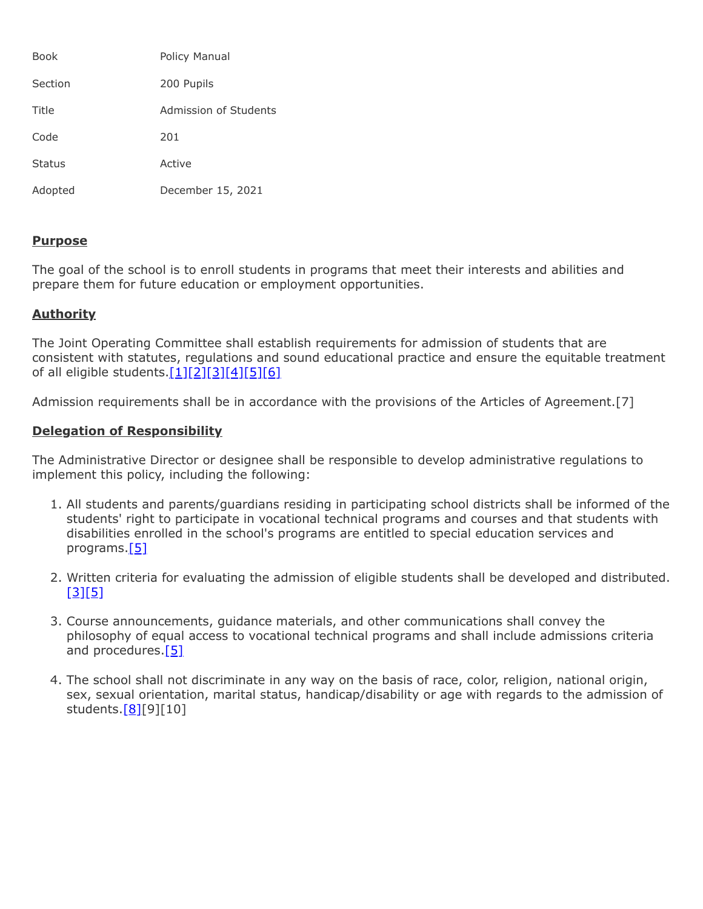| <b>Book</b>   | Policy Manual         |
|---------------|-----------------------|
| Section       | 200 Pupils            |
| Title         | Admission of Students |
| Code          | 201                   |
| <b>Status</b> | Active                |
| Adopted       | December 15, 2021     |

## **Purpose**

The goal of the school is to enroll students in programs that meet their interests and abilities and prepare them for future education or employment opportunities.

## **Authority**

The Joint Operating Committee shall establish requirements for admission of students that are consistent with statutes, regulations and sound educational practice and ensure the equitable treatment of all eligible students. $[1][2][3][4][5][6]$  $[1][2][3][4][5][6]$  $[1][2][3][4][5][6]$  $[1][2][3][4][5][6]$  $[1][2][3][4][5][6]$  $[1][2][3][4][5][6]$ 

Admission requirements shall be in accordance with the provisions of the Articles of Agreement.[7]

## **Delegation of Responsibility**

The Administrative Director or designee shall be responsible to develop administrative regulations to implement this policy, including the following:

- 1. All students and parents/guardians residing in participating school districts shall be informed of the students' right to participate in vocational technical programs and courses and that students with disabilities enrolled in the school's programs are entitled to special education services and programs[.\[5\]](http://pacodeandbulletin.gov/Display/pacode?file=/secure/pacode/data/022/chapter4/s4.31.html&d=reduce)
- 2. Written criteria for evaluating the admission of eligible students shall be developed and distributed.  $[3]$ [\[5\]](http://pacodeandbulletin.gov/Display/pacode?file=/secure/pacode/data/022/chapter4/s4.31.html&d=reduce)
- 3. Course announcements, guidance materials, and other communications shall convey the philosophy of equal access to vocational technical programs and shall include admissions criteria and procedures.<sup>[\[5\]](http://pacodeandbulletin.gov/Display/pacode?file=/secure/pacode/data/022/chapter4/s4.31.html&d=reduce)</sup>
- 4. The school shall not discriminate in any way on the basis of race, color, religion, national origin, sex, sexual orientation, marital status, handicap/disability or age with regards to the admission of students[.\[8\]](http://pacodeandbulletin.gov/Display/pacode?file=/secure/pacode/data/022/chapter4/s4.4.html&d=reduce)[9][10]